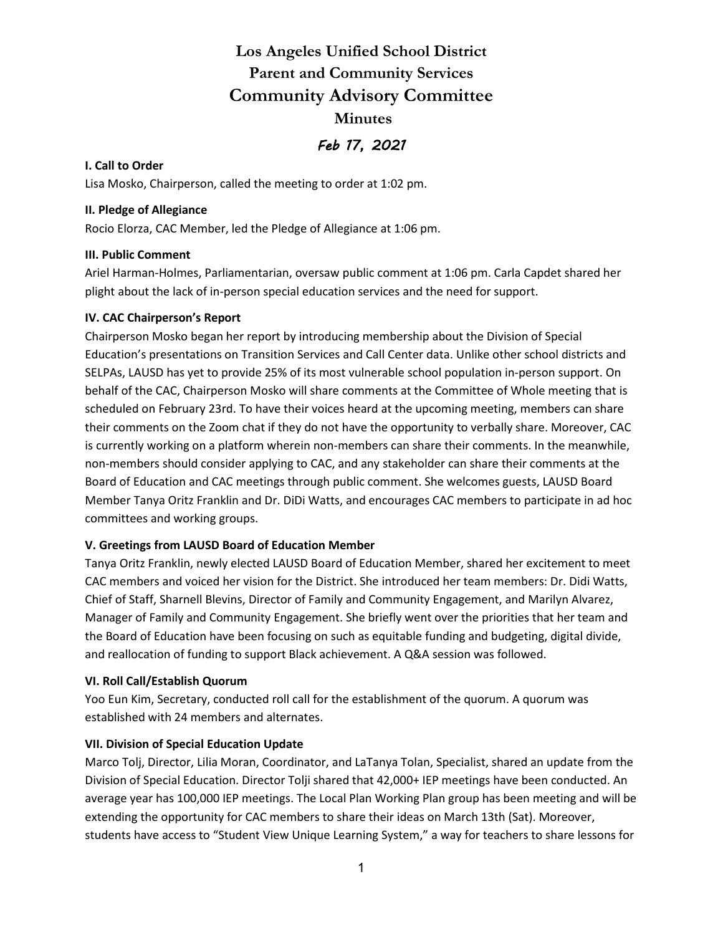**Los Angeles Unified School District Parent and Community Services Community Advisory Committee Minutes** *Feb 17, 2021* 

### **I. Call to Order**

Lisa Mosko, Chairperson, called the meeting to order at 1:02 pm.

### **II. Pledge of Allegiance**

Rocio Elorza, CAC Member, led the Pledge of Allegiance at 1:06 pm.

### **III. Public Comment**

Ariel Harman-Holmes, Parliamentarian, oversaw public comment at 1:06 pm. Carla Capdet shared her plight about the lack of in-person special education services and the need for support.

### **IV. CAC Chairperson's Report**

Chairperson Mosko began her report by introducing membership about the Division of Special Education's presentations on Transition Services and Call Center data. Unlike other school districts and SELPAs, LAUSD has yet to provide 25% of its most vulnerable school population in-person support. On behalf of the CAC, Chairperson Mosko will share comments at the Committee of Whole meeting that is scheduled on February 23rd. To have their voices heard at the upcoming meeting, members can share their comments on the Zoom chat if they do not have the opportunity to verbally share. Moreover, CAC is currently working on a platform wherein non-members can share their comments. In the meanwhile, non-members should consider applying to CAC, and any stakeholder can share their comments at the Board of Education and CAC meetings through public comment. She welcomes guests, LAUSD Board Member Tanya Oritz Franklin and Dr. DiDi Watts, and encourages CAC members to participate in ad hoc committees and working groups.

### **V. Greetings from LAUSD Board of Education Member**

Tanya Oritz Franklin, newly elected LAUSD Board of Education Member, shared her excitement to meet CAC members and voiced her vision for the District. She introduced her team members: Dr. Didi Watts, Chief of Staff, Sharnell Blevins, Director of Family and Community Engagement, and Marilyn Alvarez, Manager of Family and Community Engagement. She briefly went over the priorities that her team and the Board of Education have been focusing on such as equitable funding and budgeting, digital divide, and reallocation of funding to support Black achievement. A Q&A session was followed.

### **VI. Roll Call/Establish Quorum**

Yoo Eun Kim, Secretary, conducted roll call for the establishment of the quorum. A quorum was established with 24 members and alternates.

### **VII. Division of Special Education Update**

Marco Tolj, Director, Lilia Moran, Coordinator, and LaTanya Tolan, Specialist, shared an update from the Division of Special Education. Director Tolji shared that 42,000+ IEP meetings have been conducted. An average year has 100,000 IEP meetings. The Local Plan Working Plan group has been meeting and will be extending the opportunity for CAC members to share their ideas on March 13th (Sat). Moreover, students have access to "Student View Unique Learning System," a way for teachers to share lessons for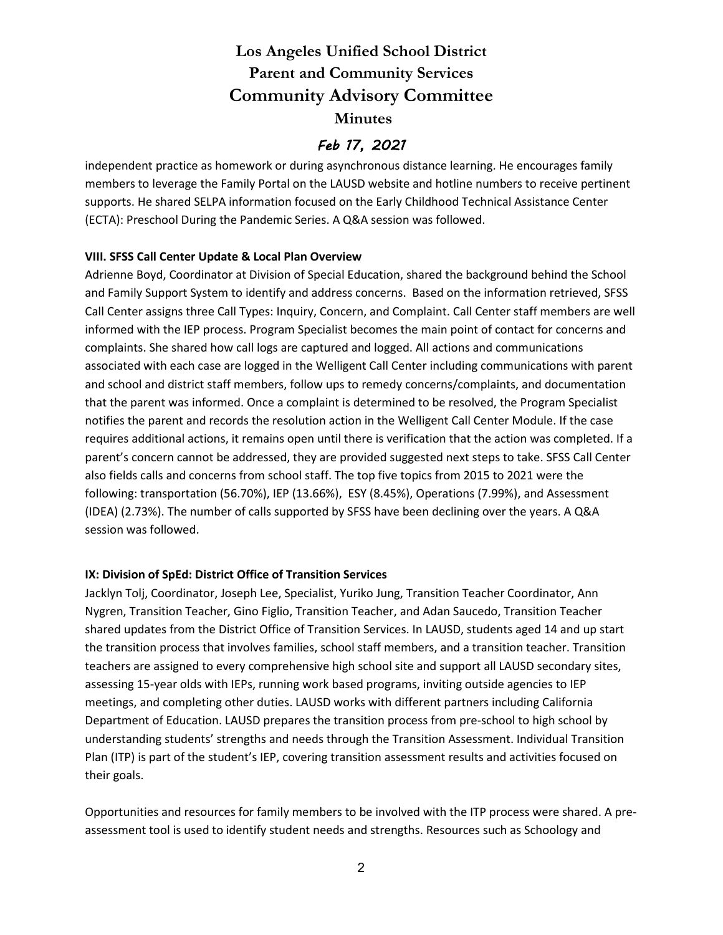# **Los Angeles Unified School District Parent and Community Services Community Advisory Committee Minutes**

### *Feb 17, 2021*

independent practice as homework or during asynchronous distance learning. He encourages family members to leverage the Family Portal on the LAUSD website and hotline numbers to receive pertinent supports. He shared SELPA information focused on the Early Childhood Technical Assistance Center (ECTA): Preschool During the Pandemic Series. A Q&A session was followed.

### **VIII. SFSS Call Center Update & Local Plan Overview**

Adrienne Boyd, Coordinator at Division of Special Education, shared the background behind the School and Family Support System to identify and address concerns. Based on the information retrieved, SFSS Call Center assigns three Call Types: Inquiry, Concern, and Complaint. Call Center staff members are well informed with the IEP process. Program Specialist becomes the main point of contact for concerns and complaints. She shared how call logs are captured and logged. All actions and communications associated with each case are logged in the Welligent Call Center including communications with parent and school and district staff members, follow ups to remedy concerns/complaints, and documentation that the parent was informed. Once a complaint is determined to be resolved, the Program Specialist notifies the parent and records the resolution action in the Welligent Call Center Module. If the case requires additional actions, it remains open until there is verification that the action was completed. If a parent's concern cannot be addressed, they are provided suggested next steps to take. SFSS Call Center also fields calls and concerns from school staff. The top five topics from 2015 to 2021 were the following: transportation (56.70%), IEP (13.66%), ESY (8.45%), Operations (7.99%), and Assessment (IDEA) (2.73%). The number of calls supported by SFSS have been declining over the years. A Q&A session was followed.

#### **IX: Division of SpEd: District Office of Transition Services**

Jacklyn Tolj, Coordinator, Joseph Lee, Specialist, Yuriko Jung, Transition Teacher Coordinator, Ann Nygren, Transition Teacher, Gino Figlio, Transition Teacher, and Adan Saucedo, Transition Teacher shared updates from the District Office of Transition Services. In LAUSD, students aged 14 and up start the transition process that involves families, school staff members, and a transition teacher. Transition teachers are assigned to every comprehensive high school site and support all LAUSD secondary sites, assessing 15-year olds with IEPs, running work based programs, inviting outside agencies to IEP meetings, and completing other duties. LAUSD works with different partners including California Department of Education. LAUSD prepares the transition process from pre-school to high school by understanding students' strengths and needs through the Transition Assessment. Individual Transition Plan (ITP) is part of the student's IEP, covering transition assessment results and activities focused on their goals.

Opportunities and resources for family members to be involved with the ITP process were shared. A preassessment tool is used to identify student needs and strengths. Resources such as Schoology and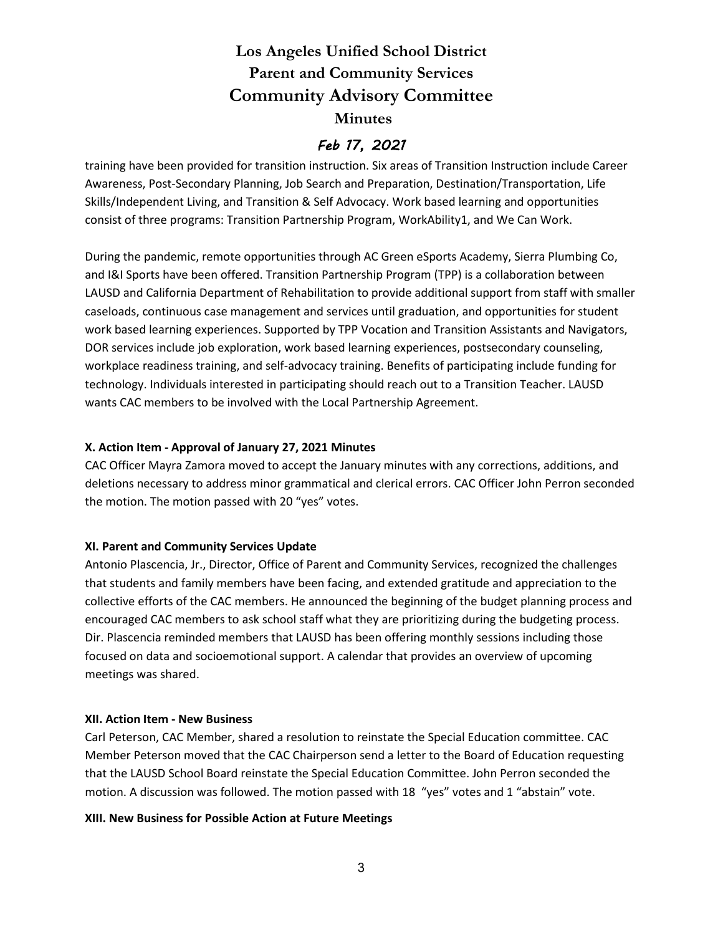# **Los Angeles Unified School District Parent and Community Services Community Advisory Committee Minutes**

### *Feb 17, 2021*

training have been provided for transition instruction. Six areas of Transition Instruction include Career Awareness, Post-Secondary Planning, Job Search and Preparation, Destination/Transportation, Life Skills/Independent Living, and Transition & Self Advocacy. Work based learning and opportunities consist of three programs: Transition Partnership Program, WorkAbility1, and We Can Work.

During the pandemic, remote opportunities through AC Green eSports Academy, Sierra Plumbing Co, and I&I Sports have been offered. Transition Partnership Program (TPP) is a collaboration between LAUSD and California Department of Rehabilitation to provide additional support from staff with smaller caseloads, continuous case management and services until graduation, and opportunities for student work based learning experiences. Supported by TPP Vocation and Transition Assistants and Navigators, DOR services include job exploration, work based learning experiences, postsecondary counseling, workplace readiness training, and self-advocacy training. Benefits of participating include funding for technology. Individuals interested in participating should reach out to a Transition Teacher. LAUSD wants CAC members to be involved with the Local Partnership Agreement.

### **X. Action Item - Approval of January 27, 2021 Minutes**

CAC Officer Mayra Zamora moved to accept the January minutes with any corrections, additions, and deletions necessary to address minor grammatical and clerical errors. CAC Officer John Perron seconded the motion. The motion passed with 20 "yes" votes.

### **XI. Parent and Community Services Update**

Antonio Plascencia, Jr., Director, Office of Parent and Community Services, recognized the challenges that students and family members have been facing, and extended gratitude and appreciation to the collective efforts of the CAC members. He announced the beginning of the budget planning process and encouraged CAC members to ask school staff what they are prioritizing during the budgeting process. Dir. Plascencia reminded members that LAUSD has been offering monthly sessions including those focused on data and socioemotional support. A calendar that provides an overview of upcoming meetings was shared.

#### **XII. Action Item - New Business**

Carl Peterson, CAC Member, shared a resolution to reinstate the Special Education committee. CAC Member Peterson moved that the CAC Chairperson send a letter to the Board of Education requesting that the LAUSD School Board reinstate the Special Education Committee. John Perron seconded the motion. A discussion was followed. The motion passed with 18 "yes" votes and 1 "abstain" vote.

### **XIII. New Business for Possible Action at Future Meetings**